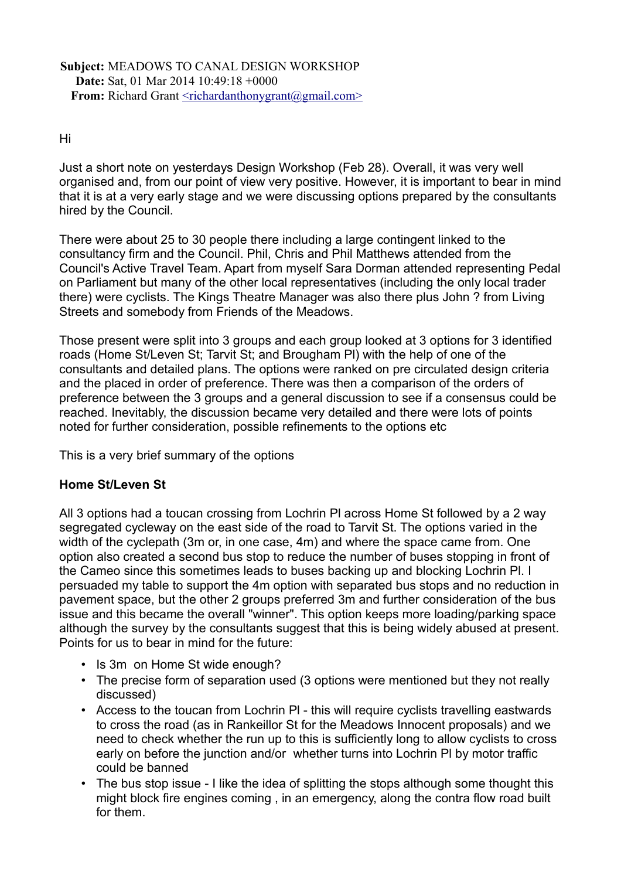### **Subject:** MEADOWS TO CANAL DESIGN WORKSHOP **Date:** Sat, 01 Mar 2014 10:49:18 +0000 **From:** Richard Grant [<richardanthonygrant@gmail.com>](mailto:richardanthonygrant@gmail.com)

### Hi

Just a short note on yesterdays Design Workshop (Feb 28). Overall, it was very well organised and, from our point of view very positive. However, it is important to bear in mind that it is at a very early stage and we were discussing options prepared by the consultants hired by the Council.

There were about 25 to 30 people there including a large contingent linked to the consultancy firm and the Council. Phil, Chris and Phil Matthews attended from the Council's Active Travel Team. Apart from myself Sara Dorman attended representing Pedal on Parliament but many of the other local representatives (including the only local trader there) were cyclists. The Kings Theatre Manager was also there plus John ? from Living Streets and somebody from Friends of the Meadows.

Those present were split into 3 groups and each group looked at 3 options for 3 identified roads (Home St/Leven St; Tarvit St; and Brougham Pl) with the help of one of the consultants and detailed plans. The options were ranked on pre circulated design criteria and the placed in order of preference. There was then a comparison of the orders of preference between the 3 groups and a general discussion to see if a consensus could be reached. Inevitably, the discussion became very detailed and there were lots of points noted for further consideration, possible refinements to the options etc

This is a very brief summary of the options

## **Home St/Leven St**

All 3 options had a toucan crossing from Lochrin Pl across Home St followed by a 2 way segregated cycleway on the east side of the road to Tarvit St. The options varied in the width of the cyclepath (3m or, in one case, 4m) and where the space came from. One option also created a second bus stop to reduce the number of buses stopping in front of the Cameo since this sometimes leads to buses backing up and blocking Lochrin Pl. I persuaded my table to support the 4m option with separated bus stops and no reduction in pavement space, but the other 2 groups preferred 3m and further consideration of the bus issue and this became the overall "winner". This option keeps more loading/parking space although the survey by the consultants suggest that this is being widely abused at present. Points for us to bear in mind for the future:

- Is 3m on Home St wide enough?
- The precise form of separation used (3 options were mentioned but they not really discussed)
- Access to the toucan from Lochrin Pl this will require cyclists travelling eastwards to cross the road (as in Rankeillor St for the Meadows Innocent proposals) and we need to check whether the run up to this is sufficiently long to allow cyclists to cross early on before the junction and/or whether turns into Lochrin Pl by motor traffic could be banned
- The bus stop issue I like the idea of splitting the stops although some thought this might block fire engines coming , in an emergency, along the contra flow road built for them.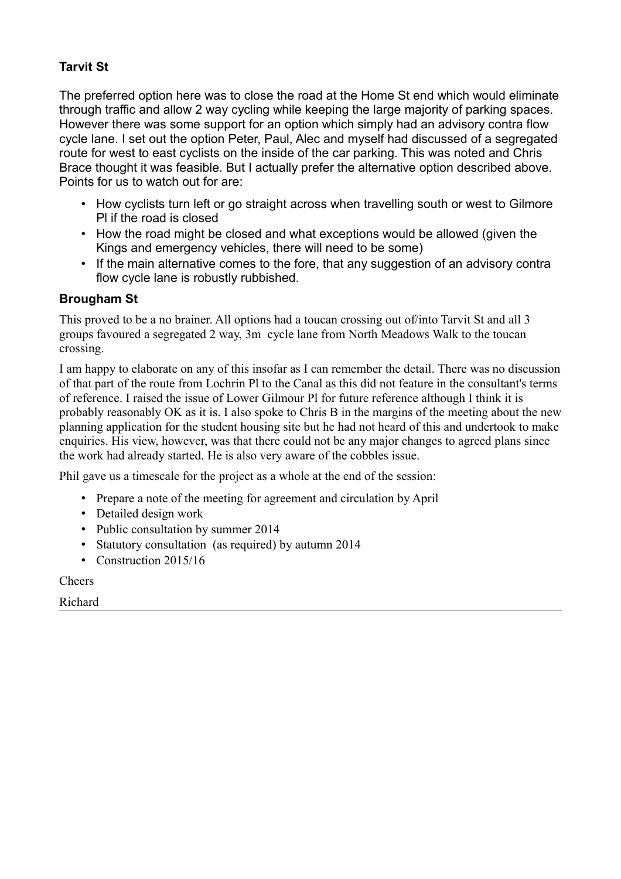# **Tarvit St**

The preferred option here was to close the road at the Home St end which would eliminate through traffic and allow 2 way cycling while keeping the large majority of parking spaces. However there was some support for an option which simply had an advisory contra flow cycle lane. I set out the option Peter, Paul, Alec and myself had discussed of a segregated route for west to east cyclists on the inside of the car parking. This was noted and Chris Brace thought it was feasible. But I actually prefer the alternative option described above. Points for us to watch out for are:

- How cyclists turn left or go straight across when travelling south or west to Gilmore Pl if the road is closed
- How the road might be closed and what exceptions would be allowed (given the Kings and emergency vehicles, there will need to be some)
- If the main alternative comes to the fore, that any suggestion of an advisory contra flow cycle lane is robustly rubbished.

## **Brougham St**

This proved to be a no brainer. All options had a toucan crossing out of/into Tarvit St and all 3 groups favoured a segregated 2 way, 3m cycle lane from North Meadows Walk to the toucan crossing.

I am happy to elaborate on any of this insofar as I can remember the detail. There was no discussion of that part of the route from Lochrin Pl to the Canal as this did not feature in the consultant's terms of reference. I raised the issue of Lower Gilmour Pl for future reference although I think it is probably reasonably OK as it is. I also spoke to Chris B in the margins of the meeting about the new planning application for the student housing site but he had not heard of this and undertook to make enquiries. His view, however, was that there could not be any major changes to agreed plans since the work had already started. He is also very aware of the cobbles issue.

Phil gave us a timescale for the project as a whole at the end of the session:

- Prepare a note of the meeting for agreement and circulation by April
- Detailed design work
- Public consultation by summer 2014
- Statutory consultation (as required) by autumn 2014
- Construction 2015/16

**Cheers** 

Richard